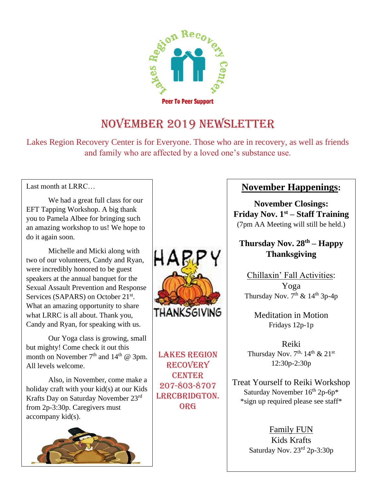

# November 2019 Newsletter

Lakes Region Recovery Center is for Everyone. Those who are in recovery, as well as friends and family who are affected by a loved one's substance use.

Last month at LRRC…

We had a great full class for our EFT Tapping Workshop. A big thank you to Pamela Albee for bringing such an amazing workshop to us! We hope to do it again soon.

Michelle and Micki along with two of our volunteers, Candy and Ryan, were incredibly honored to be guest speakers at the annual banquet for the Sexual Assault Prevention and Response Services (SAPARS) on October 21<sup>st</sup>. What an amazing opportunity to share what LRRC is all about. Thank you, Candy and Ryan, for speaking with us.

Our Yoga class is growing, small but mighty! Come check it out this month on November  $7<sup>th</sup>$  and  $14<sup>th</sup>$  @ 3pm. All levels welcome.

Also, in November, come make a holiday craft with your kid(s) at our Kids Krafts Day on Saturday November 23rd from 2p-3:30p. Caregivers must accompany kid(s).





Lakes Region **RECOVERY CENTER** 207-803-8707 LRRCBRIDGTON. **ORG** 

#### **November Happenings:**

**November Closings: Friday Nov. 1st – Staff Training**  (7pm AA Meeting will still be held.)

**Thursday Nov. 28th – Happy Thanksgiving**

Chillaxin' Fall Activities: Yoga Thursday Nov.  $7<sup>th</sup>$  & 14<sup>th</sup> 3p-4p

> Meditation in Motion Fridays 12p-1p

Reiki Thursday Nov.  $7<sup>th</sup>$ ,  $14<sup>th</sup>$  &  $21<sup>st</sup>$ 12:30p-2:30p

Treat Yourself to Reiki Workshop Saturday November  $16<sup>th</sup> 2p-6p*$ \*sign up required please see staff\*

#### Family FUN Kids Krafts

Saturday Nov. 23rd 2p-3:30p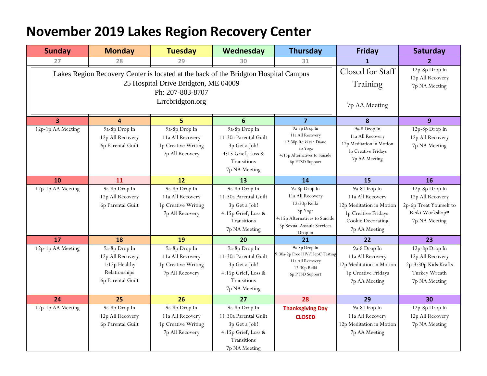# **November 2019 Lakes Region Recovery Center**

| <b>Sunday</b>                                                                                                                                                       | <b>Monday</b>                                                                            | <b>Tuesday</b>                                                              | Wednesday                                                                                                      | <b>Thursday</b>                                                                                                                        | <b>Friday</b>                                                                                                              | <b>Saturday</b>                                                                                   |
|---------------------------------------------------------------------------------------------------------------------------------------------------------------------|------------------------------------------------------------------------------------------|-----------------------------------------------------------------------------|----------------------------------------------------------------------------------------------------------------|----------------------------------------------------------------------------------------------------------------------------------------|----------------------------------------------------------------------------------------------------------------------------|---------------------------------------------------------------------------------------------------|
| 27                                                                                                                                                                  | 28                                                                                       | 29                                                                          | 30                                                                                                             | 31                                                                                                                                     |                                                                                                                            | $\overline{2}$                                                                                    |
| Lakes Region Recovery Center is located at the back of the Bridgton Hospital Campus<br>25 Hospital Drive Bridgton, ME 04009<br>Ph: 207-803-8707<br>Lrrcbridgton.org |                                                                                          |                                                                             |                                                                                                                |                                                                                                                                        | Closed for Staff<br>Training<br>7p AA Meeting                                                                              | 12p-8p Drop In<br>12p All Recovery<br>7p NA Meeting                                               |
| 3                                                                                                                                                                   | 4                                                                                        | 5                                                                           | 6                                                                                                              | $\overline{7}$                                                                                                                         | 8                                                                                                                          | 9                                                                                                 |
| 12p-1p AA Meeting                                                                                                                                                   | 9a-8p Drop In<br>12p All Recovery<br>6p Parental Guilt                                   | 9a-8p Drop In<br>11a All Recovery<br>1p Creative Writing<br>7p All Recovery | 9a-8p Drop In<br>11:30a Parental Guilt<br>3p Get a Job!<br>4:15 Grief, Loss &<br>Transitions<br>7p NA Meeting  | 9a-8p Drop In<br>11a All Recovery<br>12:30p Reiki w/ Diane<br>3p Yoga<br>4:15p Alternatives to Suicide<br>6p PTSD Support              | 9a-8 Drop In<br>11a All Recovery<br>12p Meditation in Motion<br>1p Creative Fridays<br>7p AA Meeting                       | 12p-8p Drop In<br>12p All Recovery<br>7p NA Meeting                                               |
| 10                                                                                                                                                                  | 11                                                                                       | 12                                                                          | 13                                                                                                             | 14                                                                                                                                     | 15                                                                                                                         | 16                                                                                                |
| 12p-1p AA Meeting                                                                                                                                                   | 9a-8p Drop In<br>12p All Recovery<br>6p Parental Guilt                                   | 9a-8p Drop In<br>11a All Recovery<br>1p Creative Writing<br>7p All Recovery | 9a-8p Drop In<br>11:30a Parental Guilt<br>3p Get a Job!<br>4:15p Grief, Loss &<br>Transitions<br>7p NA Meeting | 9a-8p Drop In<br>11a All Recovery<br>12:30p Reiki<br>3p Yoga<br>4:15p Alternatives to Suicide<br>5p Sexual Assault Services<br>Drop in | 9a-8 Drop In<br>11a All Recovery<br>12p Meditation in Motion<br>1p Creative Fridays:<br>Cookie Decorating<br>7p AA Meeting | 12p-8p Drop In<br>12p All Recovery<br>2p-6p Treat Yourself to<br>Reiki Workshop*<br>7p NA Meeting |
| 17                                                                                                                                                                  | 18                                                                                       | 19                                                                          | 20                                                                                                             | 21                                                                                                                                     | 22                                                                                                                         | 23                                                                                                |
| 12p-1p AA Meeting                                                                                                                                                   | 9a-8p Drop In<br>12p All Recovery<br>1:15p Healthy<br>Relationships<br>6p Parental Guilt | 9a-8p Drop In<br>11a All Recovery<br>1p Creative Writing<br>7p All Recovery | 9a-8p Drop In<br>11:30a Parental Guilt<br>3p Get a Job!<br>4:15p Grief, Loss &<br>Transitions<br>7p NA Meeting | 9a-8p Drop In<br>9:30a-2p Free HIV/HepC Testing<br>11a All Recovery<br>12:30p Reiki<br>6p PTSD Support                                 | 9a-8 Drop In<br>11a All Recovery<br>12p Meditation in Motion<br>1p Creative Fridays<br>7p AA Meeting                       | 12p-8p Drop In<br>12p All Recovery<br>2p-3:30p Kids Krafts<br>Turkey Wreath<br>7p NA Meeting      |
| 24                                                                                                                                                                  | 25                                                                                       | 26                                                                          | 27                                                                                                             | 28                                                                                                                                     | 29                                                                                                                         | 30                                                                                                |
| 12p-1p AA Meeting                                                                                                                                                   | 9a-8p Drop In<br>12p All Recovery<br>6p Parental Guilt                                   | 9a-8p Drop In<br>11a All Recovery<br>1p Creative Writing<br>7p All Recovery | 9a-8p Drop In<br>11:30a Parental Guilt<br>3p Get a Job!<br>4:15p Grief, Loss &<br>Transitions<br>7p NA Meeting | <b>Thanksgiving Day</b><br><b>CLOSED</b>                                                                                               | 9a-8 Drop In<br>11a All Recovery<br>12p Meditation in Motion<br>7p AA Meeting                                              | 12p-8p Drop In<br>12p All Recovery<br>7p NA Meeting                                               |